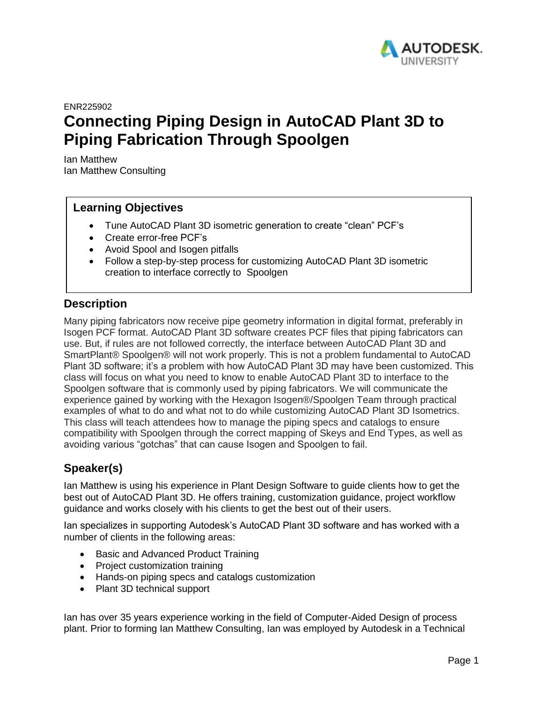

ENR225902

# **Connecting Piping Design in AutoCAD Plant 3D to Piping Fabrication Through Spoolgen**

Ian Matthew Ian Matthew Consulting

# **Learning Objectives**

- Tune AutoCAD Plant 3D isometric generation to create "clean" PCF's
- Create error-free PCF's
- Avoid Spool and Isogen pitfalls
- Follow a step-by-step process for customizing AutoCAD Plant 3D isometric creation to interface correctly to Spoolgen

## **Description**

Many piping fabricators now receive pipe geometry information in digital format, preferably in Isogen PCF format. AutoCAD Plant 3D software creates PCF files that piping fabricators can use. But, if rules are not followed correctly, the interface between AutoCAD Plant 3D and SmartPlant® Spoolgen® will not work properly. This is not a problem fundamental to AutoCAD Plant 3D software; it's a problem with how AutoCAD Plant 3D may have been customized. This class will focus on what you need to know to enable AutoCAD Plant 3D to interface to the Spoolgen software that is commonly used by piping fabricators. We will communicate the experience gained by working with the Hexagon Isogen®/Spoolgen Team through practical examples of what to do and what not to do while customizing AutoCAD Plant 3D Isometrics. This class will teach attendees how to manage the piping specs and catalogs to ensure compatibility with Spoolgen through the correct mapping of Skeys and End Types, as well as avoiding various "gotchas" that can cause Isogen and Spoolgen to fail.

# **Speaker(s)**

Ian Matthew is using his experience in Plant Design Software to guide clients how to get the best out of AutoCAD Plant 3D. He offers training, customization guidance, project workflow guidance and works closely with his clients to get the best out of their users.

Ian specializes in supporting Autodesk's AutoCAD Plant 3D software and has worked with a number of clients in the following areas:

- Basic and Advanced Product Training
- Project customization training
- Hands-on piping specs and catalogs customization
- Plant 3D technical support

Ian has over 35 years experience working in the field of Computer-Aided Design of process plant. Prior to forming Ian Matthew Consulting, Ian was employed by Autodesk in a Technical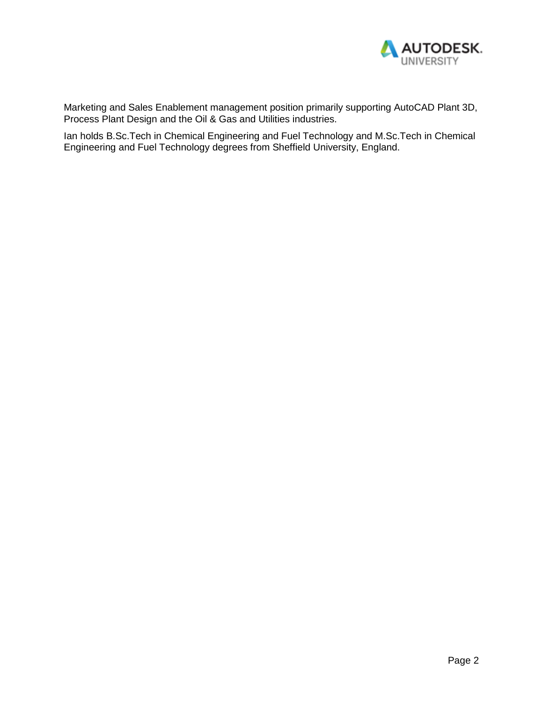

Marketing and Sales Enablement management position primarily supporting AutoCAD Plant 3D, Process Plant Design and the Oil & Gas and Utilities industries.

Ian holds B.Sc.Tech in Chemical Engineering and Fuel Technology and M.Sc.Tech in Chemical Engineering and Fuel Technology degrees from Sheffield University, England.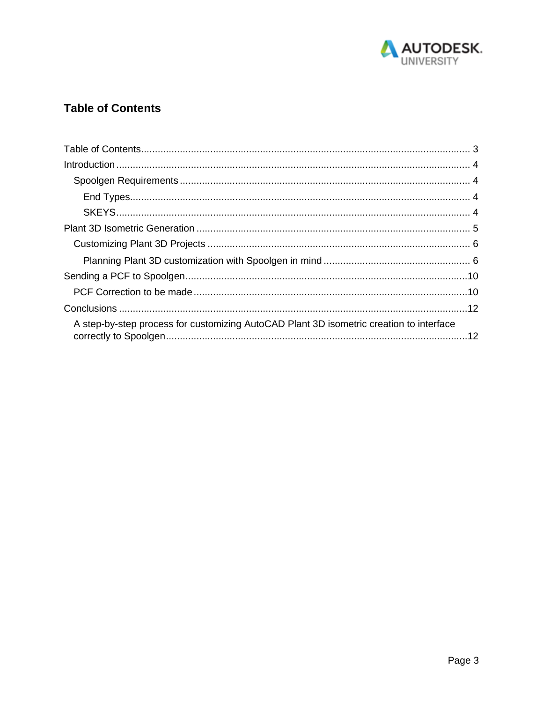

# **Table of Contents**

| A step-by-step process for customizing AutoCAD Plant 3D isometric creation to interface |  |
|-----------------------------------------------------------------------------------------|--|
|                                                                                         |  |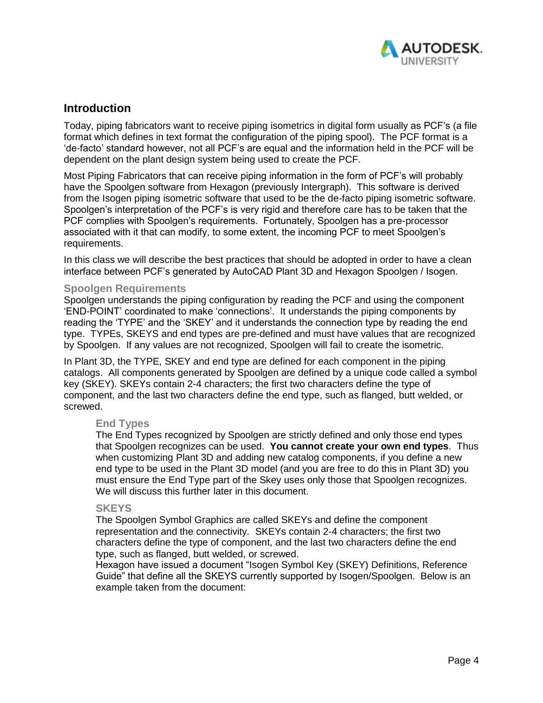

## **Introduction**

Today, piping fabricators want to receive piping isometrics in digital form usually as PCF's (a file format which defines in text format the configuration of the piping spool). The PCF format is a 'de-facto' standard however, not all PCF's are equal and the information held in the PCF will be dependent on the plant design system being used to create the PCF.

Most Piping Fabricators that can receive piping information in the form of PCF's will probably have the Spoolgen software from Hexagon (previously Intergraph). This software is derived from the Isogen piping isometric software that used to be the de-facto piping isometric software. Spoolgen's interpretation of the PCF's is very rigid and therefore care has to be taken that the PCF complies with Spoolgen's requirements. Fortunately, Spoolgen has a pre-processor associated with it that can modify, to some extent, the incoming PCF to meet Spoolgen's requirements.

In this class we will describe the best practices that should be adopted in order to have a clean interface between PCF's generated by AutoCAD Plant 3D and Hexagon Spoolgen / Isogen.

#### **Spoolgen Requirements**

Spoolgen understands the piping configuration by reading the PCF and using the component 'END-POINT' coordinated to make 'connections'. It understands the piping components by reading the 'TYPE' and the 'SKEY' and it understands the connection type by reading the end type. TYPEs, SKEYS and end types are pre-defined and must have values that are recognized by Spoolgen. If any values are not recognized, Spoolgen will fail to create the isometric.

In Plant 3D, the TYPE, SKEY and end type are defined for each component in the piping catalogs. All components generated by Spoolgen are defined by a unique code called a symbol key (SKEY). SKEYs contain 2-4 characters; the first two characters define the type of component, and the last two characters define the end type, such as flanged, butt welded, or screwed.

#### **End Types**

The End Types recognized by Spoolgen are strictly defined and only those end types that Spoolgen recognizes can be used. **You cannot create your own end types**. Thus when customizing Plant 3D and adding new catalog components, if you define a new end type to be used in the Plant 3D model (and you are free to do this in Plant 3D) you must ensure the End Type part of the Skey uses only those that Spoolgen recognizes. We will discuss this further later in this document.

#### **SKEYS**

The Spoolgen Symbol Graphics are called SKEYs and define the component representation and the connectivity. SKEYs contain 2-4 characters; the first two characters define the type of component, and the last two characters define the end type, such as flanged, butt welded, or screwed.

Hexagon have issued a document "Isogen Symbol Key (SKEY) Definitions, Reference Guide" that define all the SKEYS currently supported by Isogen/Spoolgen. Below is an example taken from the document: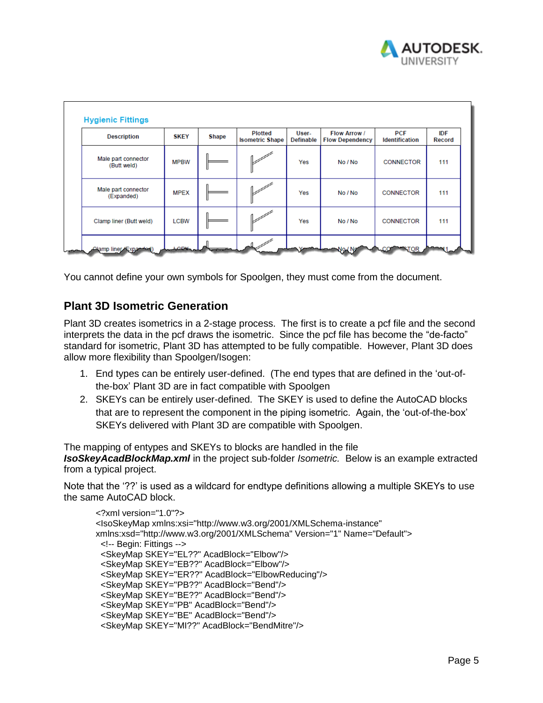

| <b>Description</b>                 | <b>SKEY</b> | <b>Shape</b> | <b>Plotted</b><br><b>Isometric Shape</b> | User-<br><b>Definable</b> | Flow Arrow /<br><b>Flow Dependency</b> | <b>PCF</b><br><b>Identification</b> | IDF<br>Record |
|------------------------------------|-------------|--------------|------------------------------------------|---------------------------|----------------------------------------|-------------------------------------|---------------|
| Male part connector<br>(Butt weld) | <b>MPBW</b> |              |                                          | Yes                       | No / No                                | <b>CONNECTOR</b>                    | 111           |
| Male part connector<br>(Expanded)  | <b>MPEX</b> |              |                                          | Yes                       | No / No                                | <b>CONNECTOR</b>                    | 111           |
| Clamp liner (Butt weld)            | <b>LCBW</b> |              |                                          | Yes                       | No / No                                | <b>CONNECTOR</b>                    | 111           |

You cannot define your own symbols for Spoolgen, they must come from the document.

# **Plant 3D Isometric Generation**

Plant 3D creates isometrics in a 2-stage process. The first is to create a pcf file and the second interprets the data in the pcf draws the isometric. Since the pcf file has become the "de-facto" standard for isometric, Plant 3D has attempted to be fully compatible. However, Plant 3D does allow more flexibility than Spoolgen/Isogen:

- 1. End types can be entirely user-defined. (The end types that are defined in the 'out-ofthe-box' Plant 3D are in fact compatible with Spoolgen
- 2. SKEYs can be entirely user-defined. The SKEY is used to define the AutoCAD blocks that are to represent the component in the piping isometric. Again, the 'out-of-the-box' SKEYs delivered with Plant 3D are compatible with Spoolgen.

The mapping of entypes and SKEYs to blocks are handled in the file *IsoSkeyAcadBlockMap.xml* in the project sub-folder *Isometric.* Below is an example extracted from a typical project.

Note that the '??' is used as a wildcard for endtype definitions allowing a multiple SKEYs to use the same AutoCAD block.

```
<?xml version="1.0"?>
<IsoSkeyMap xmlns:xsi="http://www.w3.org/2001/XMLSchema-instance" 
xmlns:xsd="http://www.w3.org/2001/XMLSchema" Version="1" Name="Default">
  <!-- Begin: Fittings -->
  <SkeyMap SKEY="EL??" AcadBlock="Elbow"/>
  <SkeyMap SKEY="EB??" AcadBlock="Elbow"/>
  <SkeyMap SKEY="ER??" AcadBlock="ElbowReducing"/>
  <SkeyMap SKEY="PB??" AcadBlock="Bend"/>
  <SkeyMap SKEY="BE??" AcadBlock="Bend"/>
  <SkeyMap SKEY="PB" AcadBlock="Bend"/>
  <SkeyMap SKEY="BE" AcadBlock="Bend"/>
  <SkeyMap SKEY="MI??" AcadBlock="BendMitre"/>
```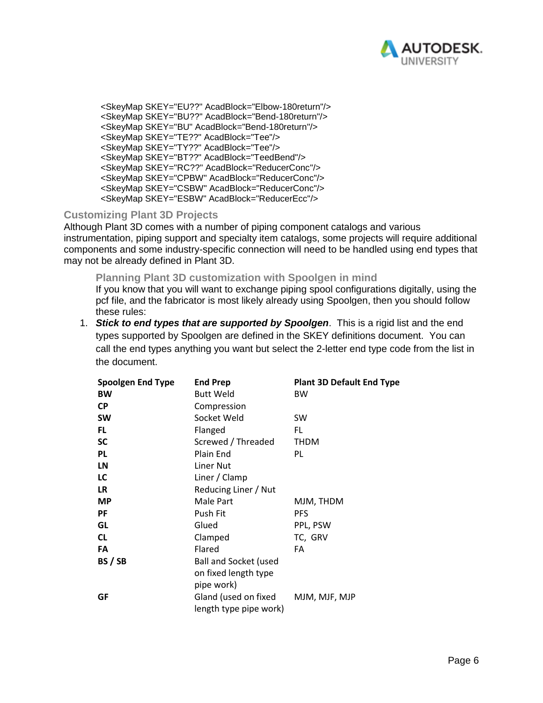

 <SkeyMap SKEY="EU??" AcadBlock="Elbow-180return"/> <SkeyMap SKEY="BU??" AcadBlock="Bend-180return"/> <SkeyMap SKEY="BU" AcadBlock="Bend-180return"/> <SkeyMap SKEY="TE??" AcadBlock="Tee"/> <SkeyMap SKEY="TY??" AcadBlock="Tee"/> <SkeyMap SKEY="BT??" AcadBlock="TeedBend"/> <SkeyMap SKEY="RC??" AcadBlock="ReducerConc"/> <SkeyMap SKEY="CPBW" AcadBlock="ReducerConc"/> <SkeyMap SKEY="CSBW" AcadBlock="ReducerConc"/> <SkeyMap SKEY="ESBW" AcadBlock="ReducerEcc"/>

#### **Customizing Plant 3D Projects**

Although Plant 3D comes with a number of piping component catalogs and various instrumentation, piping support and specialty item catalogs, some projects will require additional components and some industry-specific connection will need to be handled using end types that may not be already defined in Plant 3D.

**Planning Plant 3D customization with Spoolgen in mind** If you know that you will want to exchange piping spool configurations digitally, using the pcf file, and the fabricator is most likely already using Spoolgen, then you should follow these rules:

1. *Stick to end types that are supported by Spoolgen*. This is a rigid list and the end types supported by Spoolgen are defined in the SKEY definitions document. You can call the end types anything you want but select the 2-letter end type code from the list in the document.

| <b>Spoolgen End Type</b> | <b>End Prep</b>                                | <b>Plant 3D Default End Type</b> |
|--------------------------|------------------------------------------------|----------------------------------|
| <b>BW</b>                | <b>Butt Weld</b>                               | <b>BW</b>                        |
| <b>CP</b>                | Compression                                    |                                  |
| <b>SW</b>                | Socket Weld                                    | <b>SW</b>                        |
| FL.                      | Flanged                                        | FL                               |
| <b>SC</b>                | Screwed / Threaded                             | <b>THDM</b>                      |
| <b>PL</b>                | Plain End                                      | PL                               |
| LN                       | <b>Liner Nut</b>                               |                                  |
| LC                       | Liner / Clamp                                  |                                  |
| <b>LR</b>                | Reducing Liner / Nut                           |                                  |
| <b>MP</b>                | Male Part                                      | MJM, THDM                        |
| <b>PF</b>                | Push Fit                                       | <b>PFS</b>                       |
| GL                       | Glued                                          | PPL, PSW                         |
| <b>CL</b>                | Clamped                                        | TC, GRV                          |
| FA                       | Flared                                         | FA                               |
| BS / SB                  | <b>Ball and Socket (used</b>                   |                                  |
|                          | on fixed length type                           |                                  |
|                          | pipe work)                                     |                                  |
| GF                       | Gland (used on fixed<br>length type pipe work) | MJM, MJF, MJP                    |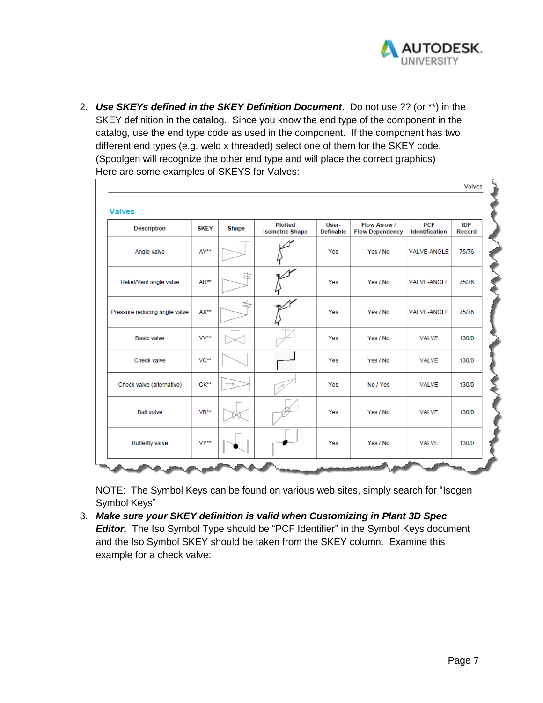

2. *Use SKEYs defined in the SKEY Definition Document*. Do not use ?? (or \*\*) in the SKEY definition in the catalog. Since you know the end type of the component in the catalog, use the end type code as used in the component. If the component has two different end types (e.g. weld x threaded) select one of them for the SKEY code. (Spoolgen will recognize the other end type and will place the correct graphics) Here are some examples of SKEYS for Valves:

| <b>Description</b>            | <b>SKEY</b> | <b>Shape</b> | <b>Plotted</b><br><b>Isometric Shape</b> | User-<br><b>Definable</b> | Flow Arrow /<br><b>Flow Dependency</b> | <b>PCF</b><br><b>Identification</b> | <b>IDF</b><br><b>Record</b> |
|-------------------------------|-------------|--------------|------------------------------------------|---------------------------|----------------------------------------|-------------------------------------|-----------------------------|
| Angle valve                   | AV**        |              |                                          | Yes                       | Yes / No                               | <b>VALVE-ANGLE</b>                  | 75/76                       |
| Relief/Vent angle valve       | AR**        |              |                                          | Yes                       | Yes / No                               | VALVE-ANGLE                         | 75/76                       |
| Pressure reducing angle valve | AX**        | ⋚            |                                          | Yes                       | Yes / No                               | VALVE-ANGLE                         | 75/76                       |
| <b>Basic valve</b>            | W**         |              |                                          | Yes                       | Yes / No                               | <b>VALVE</b>                        | 130/0                       |
| Check valve                   | VC**        |              |                                          | Yes                       | Yes / No                               | <b>VALVE</b>                        | 130/0                       |
| Check valve (alternative)     | $CK**$      |              |                                          | Yes                       | No / Yes                               | <b>VALVE</b>                        | 130/0                       |
| <b>Ball valve</b>             | $VB**$      |              |                                          | Yes                       | Yes / No                               | <b>VALVE</b>                        | 130/0                       |
| <b>Butterfly valve</b>        | VY**        |              |                                          | Yes                       | Yes / No                               | <b>VALVE</b>                        | 130/0                       |

NOTE: The Symbol Keys can be found on various web sites, simply search for "Isogen Symbol Keys"

3. *Make sure your SKEY definition is valid when Customizing in Plant 3D Spec Editor.* The Iso Symbol Type should be "PCF Identifier" in the Symbol Keys document and the Iso Symbol SKEY should be taken from the SKEY column. Examine this example for a check valve: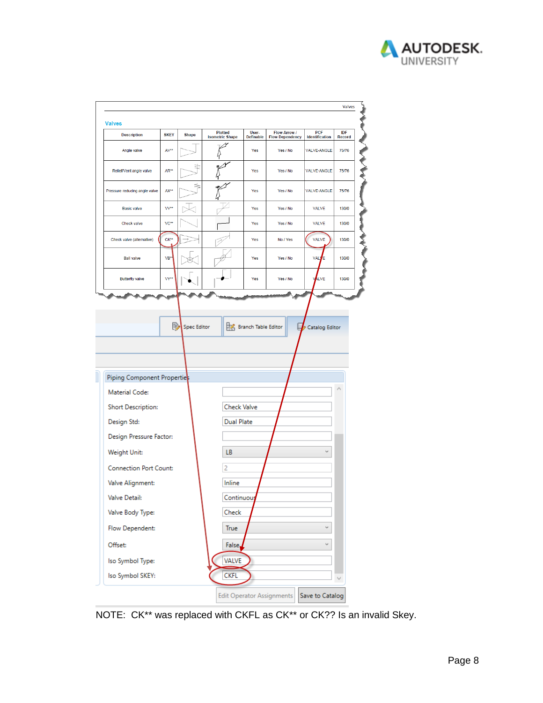

| <b>Description</b>            | <b>SKEY</b> | <b>Shape</b>       | <b>Plotted</b><br><b>Isometric Shape</b> | User-<br><b>Definable</b> | <b>Flow Arrow /</b><br><b>Flow Dependency</b> | <b>PCF</b><br>Identification | <b>IDF</b><br>Record |
|-------------------------------|-------------|--------------------|------------------------------------------|---------------------------|-----------------------------------------------|------------------------------|----------------------|
| Angle valve                   | AV**        |                    |                                          | Yes                       | Yes / No                                      | <b>VALVE-ANGLE</b>           | 75/76                |
| Relief/Vent angle valve       | AR**        |                    |                                          | Yes                       | Yes / No                                      | VALVE-ANGLE                  | 75/76                |
| Pressure reducing angle valve | AX**        |                    |                                          | Yes                       | Yes / No                                      | <b>VALVE-ANGLE</b>           | 75/76                |
| <b>Basic valve</b>            | VV**        |                    |                                          | Yes                       | Yes / No                                      | <b>VALVE</b>                 | 130/0                |
| Check valve                   | VC**        |                    |                                          | Yes                       | Yes / No                                      | <b>VALVE</b>                 | 130/0                |
| Check valve (alternative)     | CK**        |                    |                                          | Yes                       | No / Yes                                      | <b>VALVE</b>                 | 130/0                |
| <b>Ball valve</b>             | VB*         |                    |                                          | Yes                       | Yes / No                                      | <b>VAL)</b><br>ľΕ            | 130/0                |
| <b>Butterfly valve</b>        | VY**        |                    |                                          | Yes                       | Yes / No                                      | LVE<br>١                     | 130/0                |
|                               |             |                    |                                          |                           |                                               |                              |                      |
|                               | ₿           | <b>Spec Editor</b> |                                          |                           |                                               |                              |                      |
|                               |             |                    |                                          |                           |                                               |                              |                      |
|                               |             |                    |                                          | Branch Table Editor       |                                               | Catalog Editor               |                      |
|                               |             |                    |                                          |                           |                                               |                              |                      |
|                               |             |                    |                                          |                           |                                               |                              |                      |
| Piping Component Properties   |             |                    |                                          |                           |                                               |                              |                      |
| Material Code:                |             |                    |                                          |                           |                                               |                              |                      |
| Short Description:            |             |                    | <b>Check Valve</b>                       |                           |                                               |                              |                      |
| Design Std:                   |             |                    | <b>Dual Plate</b>                        |                           |                                               |                              |                      |
| Design Pressure Factor:       |             |                    |                                          |                           |                                               |                              |                      |
| Weight Unit:                  |             |                    | LB                                       |                           |                                               | u                            |                      |
| <b>Connection Port Count:</b> |             |                    | 2                                        |                           |                                               |                              |                      |
| Valve Alignment:              |             |                    | Inline                                   |                           |                                               |                              |                      |
| Valve Detail:                 |             |                    | Continuou                                |                           |                                               |                              |                      |
| Valve Body Type:              |             |                    | Check                                    |                           |                                               |                              |                      |
| Flow Dependent:               |             |                    | True                                     |                           |                                               | v                            |                      |
| Offset:                       |             |                    | False,                                   |                           |                                               | v                            |                      |
| Iso Symbol Type:              |             |                    | <b>VALVE</b>                             |                           |                                               |                              |                      |

NOTE: CK\*\* was replaced with CKFL as CK\*\* or CK?? Is an invalid Skey.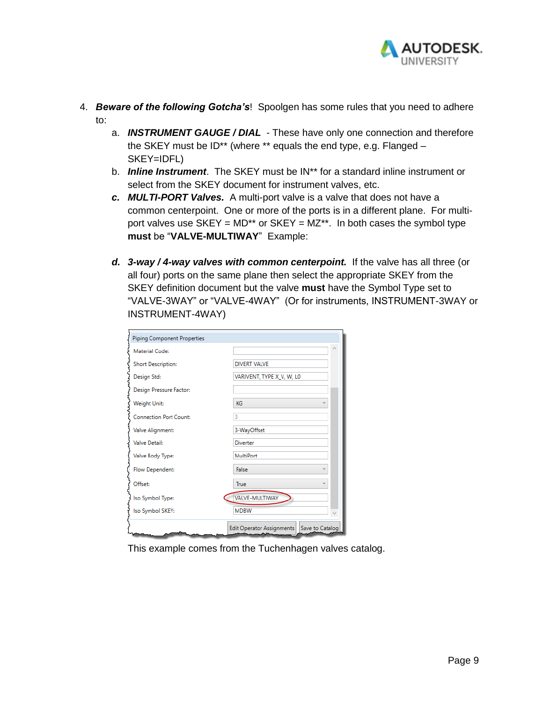

- 4. *Beware of the following Gotcha's*! Spoolgen has some rules that you need to adhere to:
	- a. *INSTRUMENT GAUGE / DIAL*  These have only one connection and therefore the SKEY must be ID\*\* (where \*\* equals the end type, e.g. Flanged – SKEY=IDFL)
	- b. *Inline Instrument*. The SKEY must be IN\*\* for a standard inline instrument or select from the SKEY document for instrument valves, etc.
	- *c. MULTI-PORT Valves.* A multi-port valve is a valve that does not have a common centerpoint. One or more of the ports is in a different plane. For multiport valves use  $SKEY = MD^{**}$  or  $SKEY = MZ^{**}$ . In both cases the symbol type **must** be "**VALVE-MULTIWAY**" Example:
	- *d. 3-way / 4-way valves with common centerpoint.* If the valve has all three (or all four) ports on the same plane then select the appropriate SKEY from the SKEY definition document but the valve **must** have the Symbol Type set to "VALVE-3WAY" or "VALVE-4WAY" (Or for instruments, INSTRUMENT-3WAY or INSTRUMENT-4WAY)

| <b>Piping Component Properties</b> |                                             |
|------------------------------------|---------------------------------------------|
| Material Code:                     | $\wedge$                                    |
| <b>Short Description:</b>          | <b>DIVERT VALVE</b>                         |
| Design Std:                        | VARIVENT, TYPE X_V, W, LO                   |
| Design Pressure Factor:            |                                             |
| Weight Unit:                       | KG<br>$\overline{\phantom{0}}$              |
| <b>Connection Port Count:</b>      | 3                                           |
| Valve Alignment:                   | 3-WayOffset                                 |
| <b>Valve Detail:</b>               | Diverter                                    |
| Valve Body Type:                   | MultiPort                                   |
| Flow Dependent:                    | False<br>$\overline{\phantom{a}}$           |
| Offset:                            | True                                        |
| Iso Symbol Type:                   | <b>VALVE-MULTIWAY</b>                       |
| Iso Symbol SKEY:                   | <b>MDBW</b>                                 |
|                                    | Edit Operator Assignments   Save to Catalog |

This example comes from the Tuchenhagen valves catalog.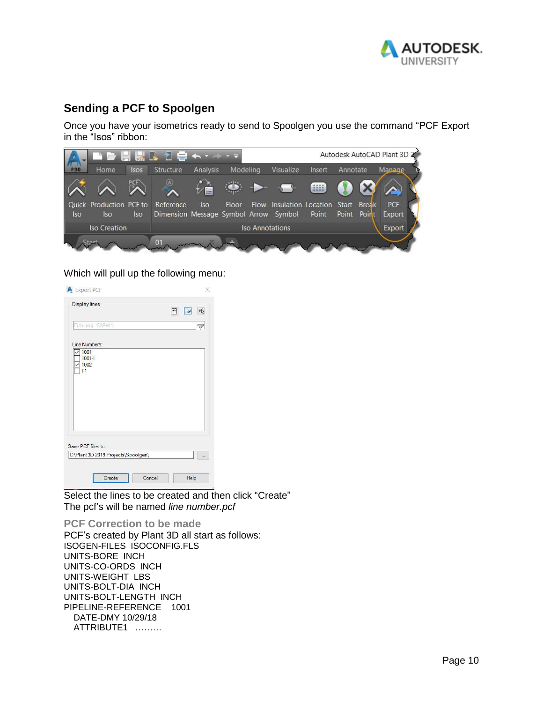

# **Sending a PCF to Spoolgen**

Once you have your isometrics ready to send to Spoolgen you use the command "PCF Export in the "Isos" ribbon:



#### Which will pull up the following menu:

| <b>Display lines</b>                                      | F | 13 | $\overline{\mathrm{d}\mathrm{p}}$ |
|-----------------------------------------------------------|---|----|-----------------------------------|
| Filter (eg. *52PW*)                                       |   |    | 7                                 |
| Line Numbers:                                             |   |    |                                   |
| 1001<br>$1001 - 1$<br>1002<br>T1                          |   |    |                                   |
|                                                           |   |    |                                   |
| Save PCF files to:<br>C:\Plant 3D 2019 Projects\Spoolgen\ |   |    |                                   |

Select the lines to be created and then click "Create" The pcf's will be named *line number.pcf*

**PCF Correction to be made** PCF's created by Plant 3D all start as follows: ISOGEN-FILES ISOCONFIG.FLS UNITS-BORE INCH UNITS-CO-ORDS INCH UNITS-WEIGHT LBS UNITS-BOLT-DIA INCH UNITS-BOLT-LENGTH INCH PIPELINE-REFERENCE 1001 DATE-DMY 10/29/18 ATTRIBUTE1 ………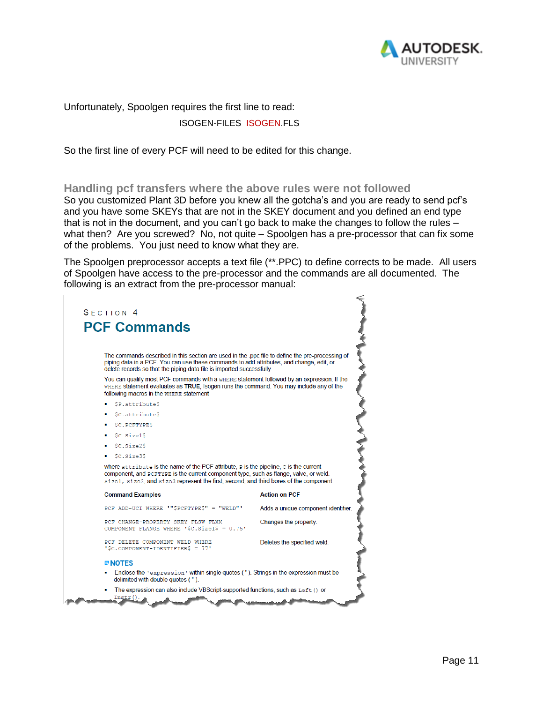

Unfortunately, Spoolgen requires the first line to read:

#### ISOGEN-FILES ISOGEN.FLS

So the first line of every PCF will need to be edited for this change.

#### **Handling pcf transfers where the above rules were not followed**

So you customized Plant 3D before you knew all the gotcha's and you are ready to send pcf's and you have some SKEYs that are not in the SKEY document and you defined an end type that is not in the document, and you can't go back to make the changes to follow the rules – what then? Are you screwed? No, not quite – Spoolgen has a pre-processor that can fix some of the problems. You just need to know what they are.

The Spoolgen preprocessor accepts a text file (\*\*.PPC) to define corrects to be made. All users of Spoolgen have access to the pre-processor and the commands are all documented. The following is an extract from the pre-processor manual: